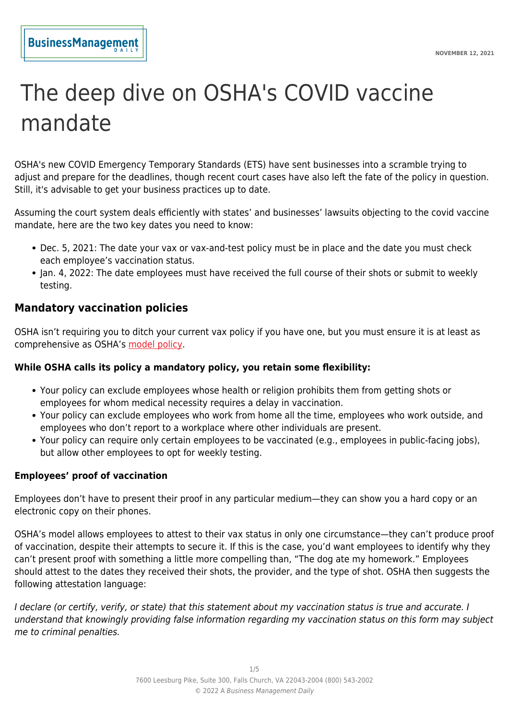# The deep dive on OSHA's COVID vaccine mandate

OSHA's new COVID Emergency Temporary Standards (ETS) have sent businesses into a scramble trying to adjust and prepare for the deadlines, though recent court cases have also left the fate of the policy in question. Still, it's advisable to get your business practices up to date.

Assuming the court system deals efficiently with states' and businesses' lawsuits objecting to the covid vaccine mandate, here are the two key dates you need to know:

- Dec. 5, 2021: The date your vax or vax-and-test policy must be in place and the date you must check each employee's vaccination status.
- Jan. 4, 2022: The date employees must have received the full course of their shots or submit to weekly testing.

# **Mandatory vaccination policies**

OSHA isn't requiring you to ditch your current vax policy if you have one, but you must ensure it is at least as comprehensive as OSHA's [model policy](https://www.osha.gov/sites/default/files/covid-19-ets2-sample-mandatory-vaccination-policy.docx).

# **While OSHA calls its policy a mandatory policy, you retain some flexibility:**

- Your policy can exclude employees whose health or religion prohibits them from getting shots or employees for whom medical necessity requires a delay in vaccination.
- Your policy can exclude employees who work from home all the time, employees who work outside, and employees who don't report to a workplace where other individuals are present.
- Your policy can require only certain employees to be vaccinated (e.g., employees in public-facing jobs), but allow other employees to opt for weekly testing.

#### **Employees' proof of vaccination**

Employees don't have to present their proof in any particular medium—they can show you a hard copy or an electronic copy on their phones.

OSHA's model allows employees to attest to their vax status in only one circumstance—they can't produce proof of vaccination, despite their attempts to secure it. If this is the case, you'd want employees to identify why they can't present proof with something a little more compelling than, "The dog ate my homework." Employees should attest to the dates they received their shots, the provider, and the type of shot. OSHA then suggests the following attestation language:

I declare (or certify, verify, or state) that this statement about my vaccination status is true and accurate. I understand that knowingly providing false information regarding my vaccination status on this form may subject me to criminal penalties.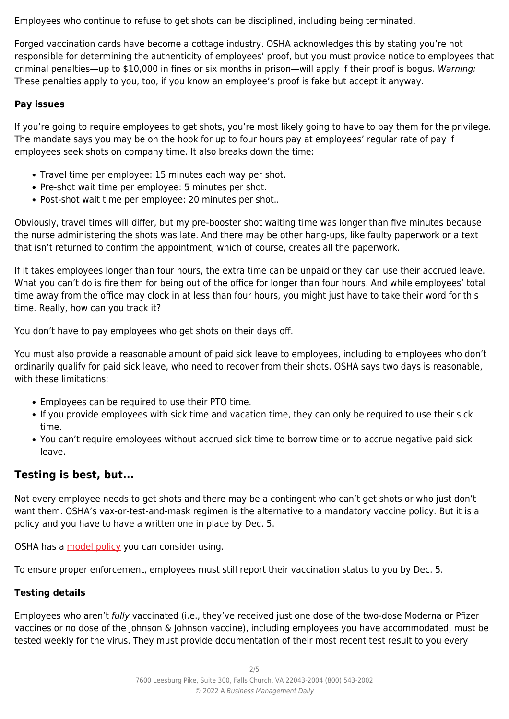Employees who continue to refuse to get shots can be disciplined, including being terminated.

Forged vaccination cards have become a cottage industry. OSHA acknowledges this by stating you're not responsible for determining the authenticity of employees' proof, but you must provide notice to employees that criminal penalties—up to \$10,000 in fines or six months in prison—will apply if their proof is bogus. Warning: These penalties apply to you, too, if you know an employee's proof is fake but accept it anyway.

## **Pay issues**

If you're going to require employees to get shots, you're most likely going to have to pay them for the privilege. The mandate says you may be on the hook for up to four hours pay at employees' regular rate of pay if employees seek shots on company time. It also breaks down the time:

- Travel time per employee: 15 minutes each way per shot.
- Pre-shot wait time per employee: 5 minutes per shot.
- Post-shot wait time per employee: 20 minutes per shot..

Obviously, travel times will differ, but my pre-booster shot waiting time was longer than five minutes because the nurse administering the shots was late. And there may be other hang-ups, like faulty paperwork or a text that isn't returned to confirm the appointment, which of course, creates all the paperwork.

If it takes employees longer than four hours, the extra time can be unpaid or they can use their accrued leave. What you can't do is fire them for being out of the office for longer than four hours. And while employees' total time away from the office may clock in at less than four hours, you might just have to take their word for this time. Really, how can you track it?

You don't have to pay employees who get shots on their days off.

You must also provide a reasonable amount of paid sick leave to employees, including to employees who don't ordinarily qualify for paid sick leave, who need to recover from their shots. OSHA says two days is reasonable, with these limitations:

- Employees can be required to use their PTO time.
- If you provide employees with sick time and vacation time, they can only be required to use their sick time.
- You can't require employees without accrued sick time to borrow time or to accrue negative paid sick leave.

# **Testing is best, but...**

Not every employee needs to get shots and there may be a contingent who can't get shots or who just don't want them. OSHA's vax-or-test-and-mask regimen is the alternative to a mandatory vaccine policy. But it is a policy and you have to have a written one in place by Dec. 5.

OSHA has a [model policy](https://www.osha.gov/sites/default/files/covid-19-ets2-sample-employee-choice-vaccination-policy.docx) you can consider using.

To ensure proper enforcement, employees must still report their vaccination status to you by Dec. 5.

#### **Testing details**

Employees who aren't fully vaccinated (i.e., they've received just one dose of the two-dose Moderna or Pfizer vaccines or no dose of the Johnson & Johnson vaccine), including employees you have accommodated, must be tested weekly for the virus. They must provide documentation of their most recent test result to you every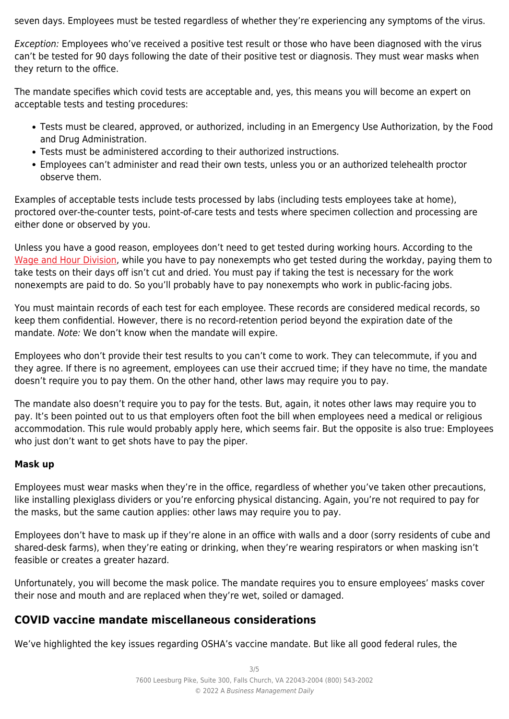seven days. Employees must be tested regardless of whether they're experiencing any symptoms of the virus.

Exception: Employees who've received a positive test result or those who have been diagnosed with the virus can't be tested for 90 days following the date of their positive test or diagnosis. They must wear masks when they return to the office.

The mandate specifies which covid tests are acceptable and, yes, this means you will become an expert on acceptable tests and testing procedures:

- Tests must be cleared, approved, or authorized, including in an Emergency Use Authorization, by the Food and Drug Administration.
- Tests must be administered according to their authorized instructions.
- Employees can't administer and read their own tests, unless you or an authorized telehealth proctor observe them.

Examples of acceptable tests include tests processed by labs (including tests employees take at home), proctored over-the-counter tests, point-of-care tests and tests where specimen collection and processing are either done or observed by you.

Unless you have a good reason, employees don't need to get tested during working hours. According to the [Wage and Hour Division](https://www.dol.gov/agencies/whd/flsa/pandemic#4), while you have to pay nonexempts who get tested during the workday, paying them to take tests on their days off isn't cut and dried. You must pay if taking the test is necessary for the work nonexempts are paid to do. So you'll probably have to pay nonexempts who work in public-facing jobs.

You must maintain records of each test for each employee. These records are considered medical records, so keep them confidential. However, there is no record-retention period beyond the expiration date of the mandate. Note: We don't know when the mandate will expire.

Employees who don't provide their test results to you can't come to work. They can telecommute, if you and they agree. If there is no agreement, employees can use their accrued time; if they have no time, the mandate doesn't require you to pay them. On the other hand, other laws may require you to pay.

The mandate also doesn't require you to pay for the tests. But, again, it notes other laws may require you to pay. It's been pointed out to us that employers often foot the bill when employees need a medical or religious accommodation. This rule would probably apply here, which seems fair. But the opposite is also true: Employees who just don't want to get shots have to pay the piper.

# **Mask up**

Employees must wear masks when they're in the office, regardless of whether you've taken other precautions, like installing plexiglass dividers or you're enforcing physical distancing. Again, you're not required to pay for the masks, but the same caution applies: other laws may require you to pay.

Employees don't have to mask up if they're alone in an office with walls and a door (sorry residents of cube and shared-desk farms), when they're eating or drinking, when they're wearing respirators or when masking isn't feasible or creates a greater hazard.

Unfortunately, you will become the mask police. The mandate requires you to ensure employees' masks cover their nose and mouth and are replaced when they're wet, soiled or damaged.

# **COVID vaccine mandate miscellaneous considerations**

We've highlighted the key issues regarding OSHA's vaccine mandate. But like all good federal rules, the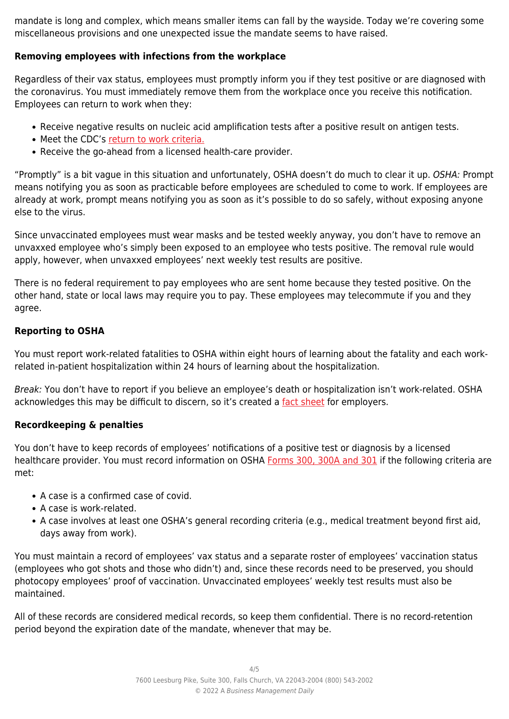mandate is long and complex, which means smaller items can fall by the wayside. Today we're covering some miscellaneous provisions and one unexpected issue the mandate seems to have raised.

### **Removing employees with infections from the workplace**

Regardless of their vax status, employees must promptly inform you if they test positive or are diagnosed with the coronavirus. You must immediately remove them from the workplace once you receive this notification. Employees can return to work when they:

- Receive negative results on nucleic acid amplification tests after a positive result on antigen tests.
- Meet the CDC's [return to work criteria.](https://www.cdc.gov/infectioncontrol/guidelines/isolation/index.html)
- Receive the go-ahead from a licensed health-care provider.

"Promptly" is a bit vague in this situation and unfortunately, OSHA doesn't do much to clear it up. OSHA: Prompt means notifying you as soon as practicable before employees are scheduled to come to work. If employees are already at work, prompt means notifying you as soon as it's possible to do so safely, without exposing anyone else to the virus.

Since unvaccinated employees must wear masks and be tested weekly anyway, you don't have to remove an unvaxxed employee who's simply been exposed to an employee who tests positive. The removal rule would apply, however, when unvaxxed employees' next weekly test results are positive.

There is no federal requirement to pay employees who are sent home because they tested positive. On the other hand, state or local laws may require you to pay. These employees may telecommute if you and they agree.

#### **Reporting to OSHA**

You must report work-related fatalities to OSHA within eight hours of learning about the fatality and each workrelated in-patient hospitalization within 24 hours of learning about the hospitalization.

Break: You don't have to report if you believe an employee's death or hospitalization isn't work-related. OSHA acknowledges this may be difficult to discern, so it's created a [fact sheet](https://www.osha.gov/sites/default/files/publications/OSHA4129.pdf) for employers.

#### **Recordkeeping & penalties**

You don't have to keep records of employees' notifications of a positive test or diagnosis by a licensed healthcare provider. You must record information on OSHA [Forms 300, 300A and 301](https://www.osha.gov/sites/default/files/OSHA-RK-Forms-Package.pdf) if the following criteria are met:

- A case is a confirmed case of covid.
- A case is work-related.
- A case involves at least one OSHA's general recording criteria (e.g., medical treatment beyond first aid, days away from work).

You must maintain a record of employees' vax status and a separate roster of employees' vaccination status (employees who got shots and those who didn't) and, since these records need to be preserved, you should photocopy employees' proof of vaccination. Unvaccinated employees' weekly test results must also be maintained.

All of these records are considered medical records, so keep them confidential. There is no record-retention period beyond the expiration date of the mandate, whenever that may be.